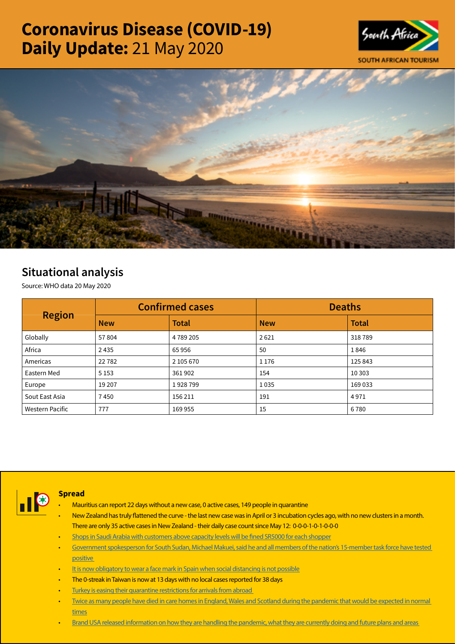# Coronavirus Disease (COVID-19) Daily Update: 21 May 2020





## Situational analysis

Source: WHO data 20 May 2020

| <b>Region</b>          |            | <b>Confirmed cases</b> | <b>Deaths</b> |              |  |
|------------------------|------------|------------------------|---------------|--------------|--|
|                        | <b>New</b> | <b>Total</b>           | <b>New</b>    | <b>Total</b> |  |
| Globally               | 57804      | 4789205                | 2621          | 318789       |  |
| Africa                 | 2435       | 65956                  | 50            | 1846         |  |
| Americas               | 22782      | 2 105 670              | 1 1 7 6       | 125 843      |  |
| Eastern Med            | 5 1 5 3    | 361902                 | 154           | 10 30 3      |  |
| Europe                 | 19 20 7    | 1928799                | 1035          | 169 033      |  |
| Sout East Asia         | 7450       | 156 211                | 191           | 4971         |  |
| <b>Western Pacific</b> | 777        | 169 955                | 15            | 6780         |  |



#### **Spread**

- Mauritius can report 22 days without a new case, 0 active cases, 149 people in quarantine
- New Zealand has truly flattened the curve the last new case was in April or 3 incubation cycles ago, with no new clusters in a month. There are only 35 active cases in New Zealand - their daily case count since May 12: 0-0-0-1-0-1-0-0-0
- [Shops in Saudi Arabia with customers above capacity levels will be fined SR5000 for each shopper](https://t.co/td28qdkjO4?amp=1)
- [Government spokesperson for South Sudan, Michael Makuei, said he and all members of the nation's 15-member task force have tested](https://t.co/Pkf4DmBYGU?amp=1)  [positive](https://t.co/Pkf4DmBYGU?amp=1)
- [It is now obligatory to wear a face mark in Spain when social distancing is not possible](https://t.co/ZRljYEG4sk?amp=1)
- The 0-streak in Taiwan is now at 13 days with no local cases reported for 38 days
- Turkey is easing their quarantine restrictions for arrivals from abroad
- [Twice as many people have died in care homes in England, Wales and Scotland during the pandemic that would be expected in normal](https://t.co/8DZoA3JCHB?amp=1)  [times](https://t.co/8DZoA3JCHB?amp=1)
- Brand USA released information on how they are handling the pandemic, what they are currently doing and future plans and areas